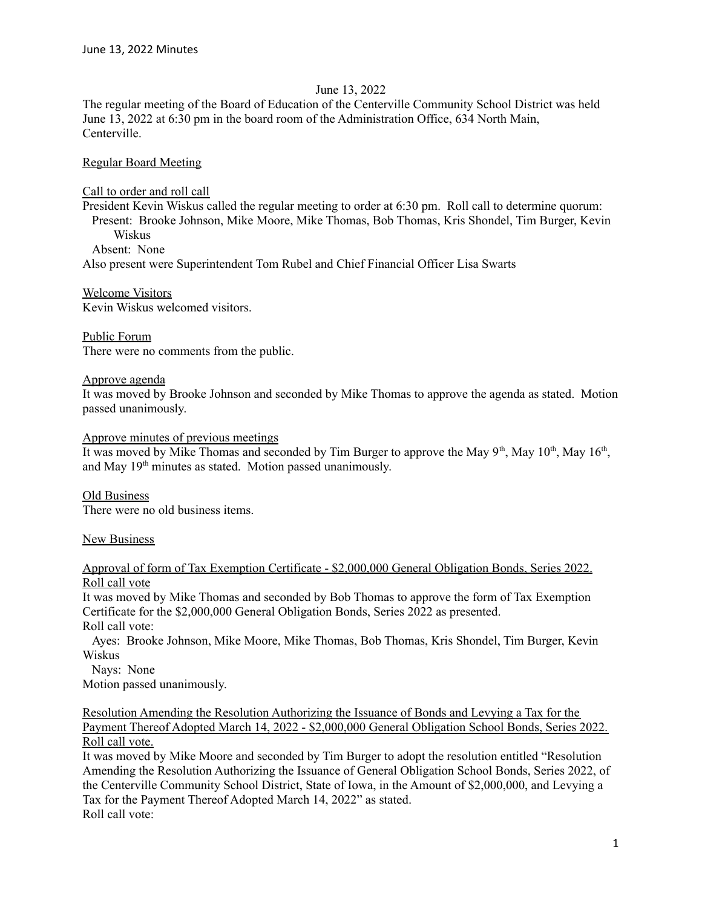### June 13, 2022

The regular meeting of the Board of Education of the Centerville Community School District was held June 13, 2022 at 6:30 pm in the board room of the Administration Office, 634 North Main, Centerville.

Regular Board Meeting

Call to order and roll call

President Kevin Wiskus called the regular meeting to order at 6:30 pm. Roll call to determine quorum: Present: Brooke Johnson, Mike Moore, Mike Thomas, Bob Thomas, Kris Shondel, Tim Burger, Kevin **Wiskus** 

Absent: None

Also present were Superintendent Tom Rubel and Chief Financial Officer Lisa Swarts

Welcome Visitors Kevin Wiskus welcomed visitors.

Public Forum There were no comments from the public.

Approve agenda

It was moved by Brooke Johnson and seconded by Mike Thomas to approve the agenda as stated. Motion passed unanimously.

Approve minutes of previous meetings

It was moved by Mike Thomas and seconded by Tim Burger to approve the May  $9<sup>th</sup>$ , May  $10<sup>th</sup>$ , May  $16<sup>th</sup>$ , and May 19<sup>th</sup> minutes as stated. Motion passed unanimously.

Old Business There were no old business items.

**New Business** 

Approval of form of Tax Exemption Certificate - \$2,000,000 General Obligation Bonds, Series 2022. Roll call vote

It was moved by Mike Thomas and seconded by Bob Thomas to approve the form of Tax Exemption Certificate for the \$2,000,000 General Obligation Bonds, Series 2022 as presented. Roll call vote:

Ayes: Brooke Johnson, Mike Moore, Mike Thomas, Bob Thomas, Kris Shondel, Tim Burger, Kevin Wiskus

Nays: None Motion passed unanimously.

Resolution Amending the Resolution Authorizing the Issuance of Bonds and Levying a Tax for the Payment Thereof Adopted March 14, 2022 - \$2,000,000 General Obligation School Bonds, Series 2022. Roll call vote.

It was moved by Mike Moore and seconded by Tim Burger to adopt the resolution entitled "Resolution Amending the Resolution Authorizing the Issuance of General Obligation School Bonds, Series 2022, of the Centerville Community School District, State of Iowa, in the Amount of \$2,000,000, and Levying a Tax for the Payment Thereof Adopted March 14, 2022" as stated. Roll call vote: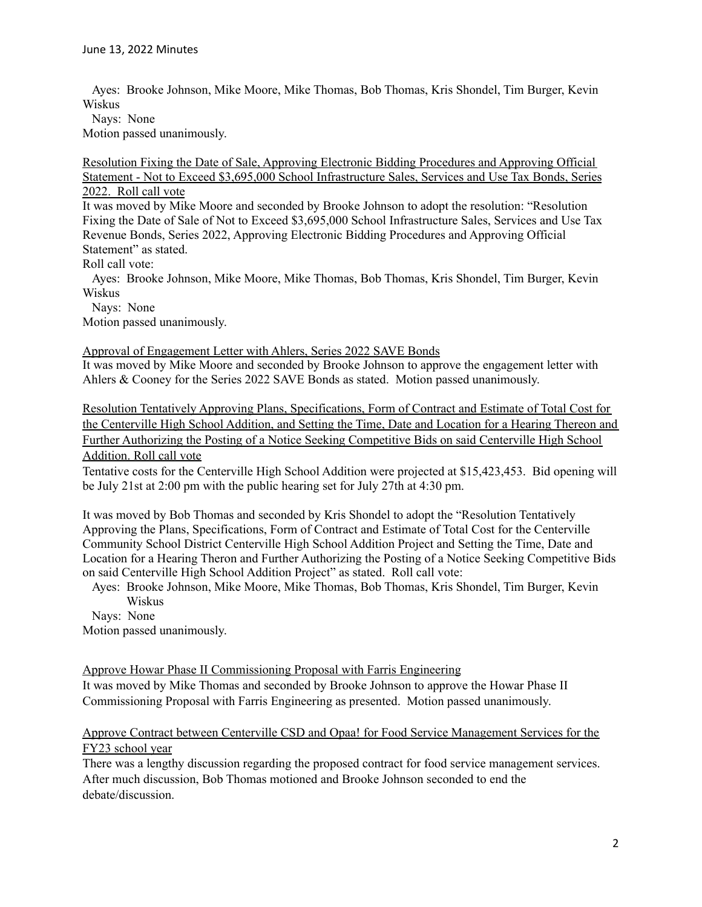Ayes: Brooke Johnson, Mike Moore, Mike Thomas, Bob Thomas, Kris Shondel, Tim Burger, Kevin Wiskus

Nays: None

Motion passed unanimously.

Resolution Fixing the Date of Sale, Approving Electronic Bidding Procedures and Approving Official Statement - Not to Exceed \$3,695,000 School Infrastructure Sales, Services and Use Tax Bonds, Series 2022. Roll call vote

It was moved by Mike Moore and seconded by Brooke Johnson to adopt the resolution: "Resolution Fixing the Date of Sale of Not to Exceed \$3,695,000 School Infrastructure Sales, Services and Use Tax Revenue Bonds, Series 2022, Approving Electronic Bidding Procedures and Approving Official Statement" as stated.

Roll call vote:

Ayes: Brooke Johnson, Mike Moore, Mike Thomas, Bob Thomas, Kris Shondel, Tim Burger, Kevin Wiskus

Nays: None

Motion passed unanimously.

### Approval of Engagement Letter with Ahlers, Series 2022 SAVE Bonds

It was moved by Mike Moore and seconded by Brooke Johnson to approve the engagement letter with Ahlers & Cooney for the Series 2022 SAVE Bonds as stated. Motion passed unanimously.

Resolution Tentatively Approving Plans, Specifications, Form of Contract and Estimate of Total Cost for the Centerville High School Addition, and Setting the Time, Date and Location for a Hearing Thereon and Further Authorizing the Posting of a Notice Seeking Competitive Bids on said Centerville High School Addition. Roll call vote

Tentative costs for the Centerville High School Addition were projected at \$15,423,453. Bid opening will be July 21st at 2:00 pm with the public hearing set for July 27th at 4:30 pm.

It was moved by Bob Thomas and seconded by Kris Shondel to adopt the "Resolution Tentatively Approving the Plans, Specifications, Form of Contract and Estimate of Total Cost for the Centerville Community School District Centerville High School Addition Project and Setting the Time, Date and Location for a Hearing Theron and Further Authorizing the Posting of a Notice Seeking Competitive Bids on said Centerville High School Addition Project" as stated. Roll call vote:

Ayes: Brooke Johnson, Mike Moore, Mike Thomas, Bob Thomas, Kris Shondel, Tim Burger, Kevin Wiskus

Nays: None Motion passed unanimously.

Approve Howar Phase II Commissioning Proposal with Farris Engineering

It was moved by Mike Thomas and seconded by Brooke Johnson to approve the Howar Phase II Commissioning Proposal with Farris Engineering as presented. Motion passed unanimously.

## Approve Contract between Centerville CSD and Opaa! for Food Service Management Services for the FY23 school year

There was a lengthy discussion regarding the proposed contract for food service management services. After much discussion, Bob Thomas motioned and Brooke Johnson seconded to end the debate/discussion.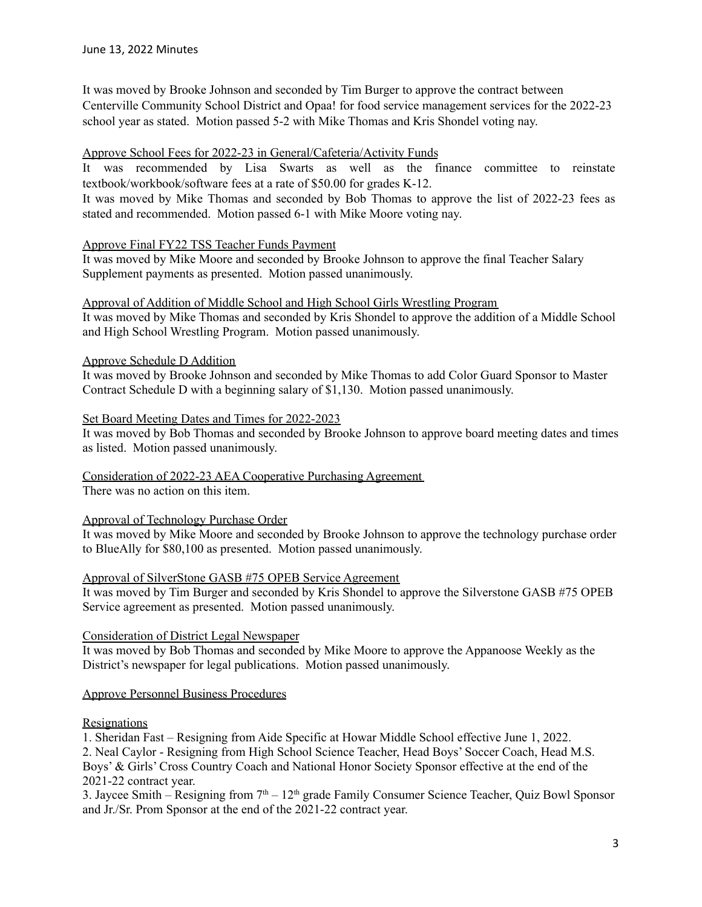It was moved by Brooke Johnson and seconded by Tim Burger to approve the contract between Centerville Community School District and Opaa! for food service management services for the 2022-23 school year as stated. Motion passed 5-2 with Mike Thomas and Kris Shondel voting nay.

### Approve School Fees for 2022-23 in General/Cafeteria/Activity Funds

It was recommended by Lisa Swarts as well as the finance committee to reinstate textbook/workbook/software fees at a rate of \$50.00 for grades K-12.

It was moved by Mike Thomas and seconded by Bob Thomas to approve the list of 2022-23 fees as stated and recommended. Motion passed 6-1 with Mike Moore voting nay.

### Approve Final FY22 TSS Teacher Funds Payment

It was moved by Mike Moore and seconded by Brooke Johnson to approve the final Teacher Salary Supplement payments as presented. Motion passed unanimously.

Approval of Addition of Middle School and High School Girls Wrestling Program It was moved by Mike Thomas and seconded by Kris Shondel to approve the addition of a Middle School and High School Wrestling Program. Motion passed unanimously.

### Approve Schedule D Addition

It was moved by Brooke Johnson and seconded by Mike Thomas to add Color Guard Sponsor to Master Contract Schedule D with a beginning salary of \$1,130. Motion passed unanimously.

### Set Board Meeting Dates and Times for 2022-2023

It was moved by Bob Thomas and seconded by Brooke Johnson to approve board meeting dates and times as listed. Motion passed unanimously.

# Consideration of 2022-23 AEA Cooperative Purchasing Agreement

There was no action on this item.

### Approval of Technology Purchase Order

It was moved by Mike Moore and seconded by Brooke Johnson to approve the technology purchase order to BlueAlly for \$80,100 as presented. Motion passed unanimously.

### Approval of SilverStone GASB #75 OPEB Service Agreement

It was moved by Tim Burger and seconded by Kris Shondel to approve the Silverstone GASB #75 OPEB Service agreement as presented. Motion passed unanimously.

### Consideration of District Legal Newspaper

It was moved by Bob Thomas and seconded by Mike Moore to approve the Appanoose Weekly as the District's newspaper for legal publications. Motion passed unanimously.

### Approve Personnel Business Procedures

### **Resignations**

1. Sheridan Fast – Resigning from Aide Specific at Howar Middle School effective June 1, 2022.

2. Neal Caylor - Resigning from High School Science Teacher, Head Boys' Soccer Coach, Head M.S. Boys' & Girls' Cross Country Coach and National Honor Society Sponsor effective at the end of the 2021-22 contract year.

3. Jaycee Smith – Resigning from  $7<sup>th</sup> - 12<sup>th</sup>$  grade Family Consumer Science Teacher, Quiz Bowl Sponsor and Jr./Sr. Prom Sponsor at the end of the 2021-22 contract year.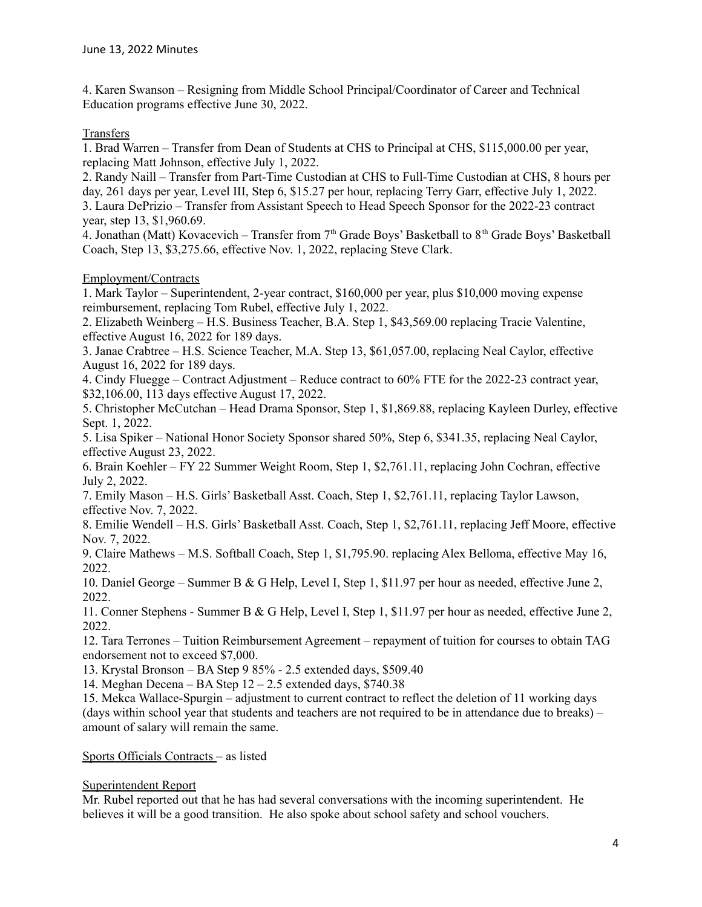4. Karen Swanson – Resigning from Middle School Principal/Coordinator of Career and Technical Education programs effective June 30, 2022.

## **Transfers**

1. Brad Warren – Transfer from Dean of Students at CHS to Principal at CHS, \$115,000.00 per year, replacing Matt Johnson, effective July 1, 2022.

2. Randy Naill – Transfer from Part-Time Custodian at CHS to Full-Time Custodian at CHS, 8 hours per day, 261 days per year, Level III, Step 6, \$15.27 per hour, replacing Terry Garr, effective July 1, 2022. 3. Laura DePrizio – Transfer from Assistant Speech to Head Speech Sponsor for the 2022-23 contract year, step 13, \$1,960.69.

4. Jonathan (Matt) Kovacevich – Transfer from  $7<sup>th</sup>$  Grade Boys' Basketball to  $8<sup>th</sup>$  Grade Boys' Basketball Coach, Step 13, \$3,275.66, effective Nov. 1, 2022, replacing Steve Clark.

### Employment/Contracts

1. Mark Taylor – Superintendent, 2-year contract, \$160,000 per year, plus \$10,000 moving expense reimbursement, replacing Tom Rubel, effective July 1, 2022.

2. Elizabeth Weinberg – H.S. Business Teacher, B.A. Step 1, \$43,569.00 replacing Tracie Valentine, effective August 16, 2022 for 189 days.

3. Janae Crabtree – H.S. Science Teacher, M.A. Step 13, \$61,057.00, replacing Neal Caylor, effective August 16, 2022 for 189 days.

4. Cindy Fluegge – Contract Adjustment – Reduce contract to 60% FTE for the 2022-23 contract year, \$32,106.00, 113 days effective August 17, 2022.

5. Christopher McCutchan – Head Drama Sponsor, Step 1, \$1,869.88, replacing Kayleen Durley, effective Sept. 1, 2022.

5. Lisa Spiker – National Honor Society Sponsor shared 50%, Step 6, \$341.35, replacing Neal Caylor, effective August 23, 2022.

6. Brain Koehler – FY 22 Summer Weight Room, Step 1, \$2,761.11, replacing John Cochran, effective July 2, 2022.

7. Emily Mason – H.S. Girls' Basketball Asst. Coach, Step 1, \$2,761.11, replacing Taylor Lawson, effective Nov. 7, 2022.

8. Emilie Wendell – H.S. Girls' Basketball Asst. Coach, Step 1, \$2,761.11, replacing Jeff Moore, effective Nov. 7, 2022.

9. Claire Mathews – M.S. Softball Coach, Step 1, \$1,795.90. replacing Alex Belloma, effective May 16, 2022.

10. Daniel George – Summer B & G Help, Level I, Step 1, \$11.97 per hour as needed, effective June 2, 2022.

11. Conner Stephens - Summer B & G Help, Level I, Step 1, \$11.97 per hour as needed, effective June 2, 2022.

12. Tara Terrones – Tuition Reimbursement Agreement – repayment of tuition for courses to obtain TAG endorsement not to exceed \$7,000.

13. Krystal Bronson – BA Step 9 85% - 2.5 extended days, \$509.40

14. Meghan Decena – BA Step 12 – 2.5 extended days, \$740.38

15. Mekca Wallace-Spurgin – adjustment to current contract to reflect the deletion of 11 working days (days within school year that students and teachers are not required to be in attendance due to breaks) – amount of salary will remain the same.

### Sports Officials Contracts – as listed

### Superintendent Report

Mr. Rubel reported out that he has had several conversations with the incoming superintendent. He believes it will be a good transition. He also spoke about school safety and school vouchers.